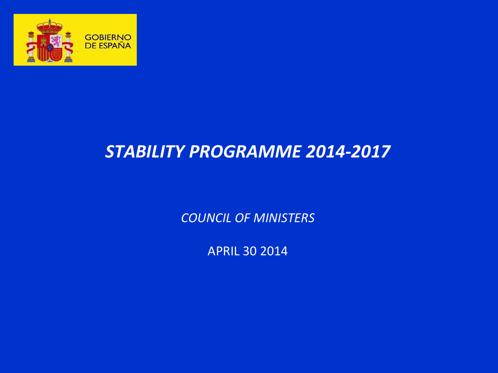

# *STABILITY PROGRAMME 2014-2017*

*COUNCIL OF MINISTERS*

APRIL 30 2014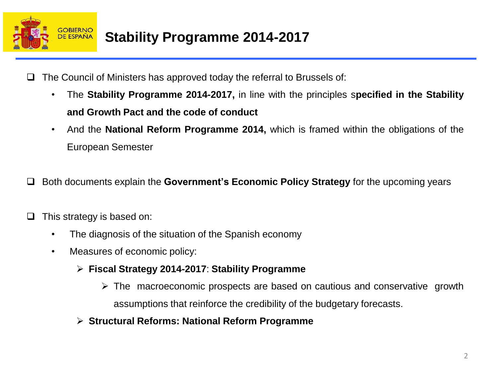

- $\Box$  The Council of Ministers has approved today the referral to Brussels of:
	- The **Stability Programme 2014-2017,** in line with the principles s**pecified in the Stability and Growth Pact and the code of conduct**
	- And the **National Reform Programme 2014,** which is framed within the obligations of the European Semester
- Both documents explain the **Government's Economic Policy Strategy** for the upcoming years
- $\Box$  This strategy is based on:
	- The diagnosis of the situation of the Spanish economy
	- Measures of economic policy:
		- **Fiscal Strategy 2014-2017**: **Stability Programme**
			- $\triangleright$  The macroeconomic prospects are based on cautious and conservative growth assumptions that reinforce the credibility of the budgetary forecasts.
		- **Structural Reforms: National Reform Programme**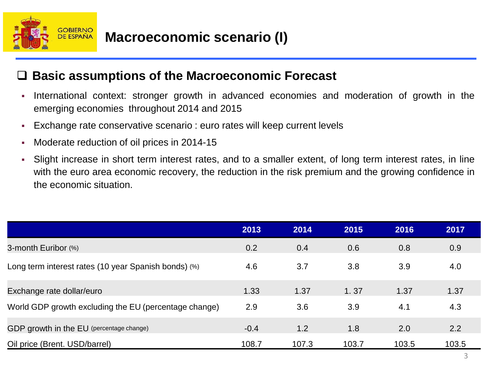

### **Basic assumptions of the Macroeconomic Forecast**

- International context: stronger growth in advanced economies and moderation of growth in the emerging economies throughout 2014 and 2015
- Exchange rate conservative scenario : euro rates will keep current levels
- **Moderate reduction of oil prices in 2014-15**
- Slight increase in short term interest rates, and to a smaller extent, of long term interest rates, in line with the euro area economic recovery, the reduction in the risk premium and the growing confidence in the economic situation.

|                                                       | 2013   | 2014  | 2015  | 2016  | 2017  |
|-------------------------------------------------------|--------|-------|-------|-------|-------|
| 3-month Euribor (%)                                   | 0.2    | 0.4   | 0.6   | 0.8   | 0.9   |
| Long term interest rates (10 year Spanish bonds) (%)  | 4.6    | 3.7   | 3.8   | 3.9   | 4.0   |
| Exchange rate dollar/euro                             | 1.33   | 1.37  | 1.37  | 1.37  | 1.37  |
| World GDP growth excluding the EU (percentage change) | 2.9    | 3.6   | 3.9   | 4.1   | 4.3   |
| GDP growth in the EU (percentage change)              | $-0.4$ | 1.2   | 1.8   | 2.0   | 2.2   |
| Oil price (Brent. USD/barrel)                         | 108.7  | 107.3 | 103.7 | 103.5 | 103.5 |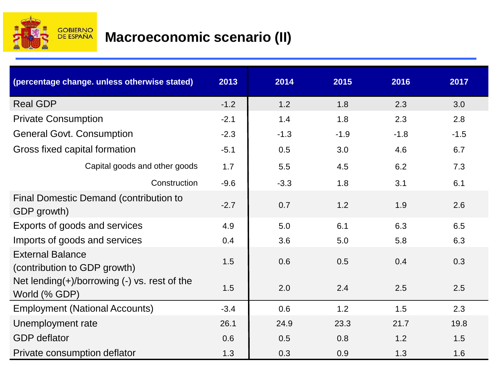

## **Macroeconomic scenario (II)**

| (percentage change. unless otherwise stated)                        | 2013   | 2014   | 2015   | 2016   | 2017   |
|---------------------------------------------------------------------|--------|--------|--------|--------|--------|
| <b>Real GDP</b>                                                     | $-1.2$ | 1.2    | 1.8    | 2.3    | 3.0    |
| <b>Private Consumption</b>                                          | $-2.1$ | 1.4    | 1.8    | 2.3    | 2.8    |
| <b>General Govt. Consumption</b>                                    | $-2.3$ | $-1.3$ | $-1.9$ | $-1.8$ | $-1.5$ |
| Gross fixed capital formation                                       | $-5.1$ | 0.5    | 3.0    | 4.6    | 6.7    |
| Capital goods and other goods                                       | 1.7    | 5.5    | 4.5    | 6.2    | 7.3    |
| Construction                                                        | $-9.6$ | $-3.3$ | 1.8    | 3.1    | 6.1    |
| Final Domestic Demand (contribution to<br>GDP growth)               | $-2.7$ | 0.7    | 1.2    | 1.9    | 2.6    |
| Exports of goods and services                                       | 4.9    | 5.0    | 6.1    | 6.3    | 6.5    |
| Imports of goods and services                                       | 0.4    | 3.6    | 5.0    | 5.8    | 6.3    |
| <b>External Balance</b><br>(contribution to GDP growth)             | 1.5    | 0.6    | 0.5    | 0.4    | 0.3    |
| Net lending $(+)$ /borrowing $(-)$ vs. rest of the<br>World (% GDP) | 1.5    | 2.0    | 2.4    | 2.5    | 2.5    |
| <b>Employment (National Accounts)</b>                               | $-3.4$ | 0.6    | 1.2    | 1.5    | 2.3    |
| Unemployment rate                                                   | 26.1   | 24.9   | 23.3   | 21.7   | 19.8   |
| <b>GDP</b> deflator                                                 | 0.6    | 0.5    | 0.8    | 1.2    | 1.5    |
| Private consumption deflator                                        | 1.3    | 0.3    | 0.9    | 1.3    | 1.6    |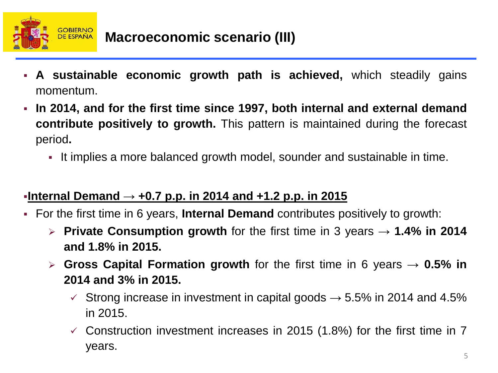

- **A sustainable economic growth path is achieved,** which steadily gains momentum.
- **In 2014, and for the first time since 1997, both internal and external demand contribute positively to growth.** This pattern is maintained during the forecast period**.**
	- It implies a more balanced growth model, sounder and sustainable in time.

### **Internal Demand → +0.7 p.p. in 2014 and +1.2 p.p. in 2015**

- For the first time in 6 years, **Internal Demand** contributes positively to growth:
	- **Private Consumption growth** for the first time in 3 years → **1.4% in 2014 and 1.8% in 2015.**
	- **Gross Capital Formation growth** for the first time in 6 years **→ 0.5% in 2014 and 3% in 2015.**
		- $\checkmark$  Strong increase in investment in capital goods  $\to$  5.5% in 2014 and 4.5% in 2015.
		- $\checkmark$  Construction investment increases in 2015 (1.8%) for the first time in 7 years.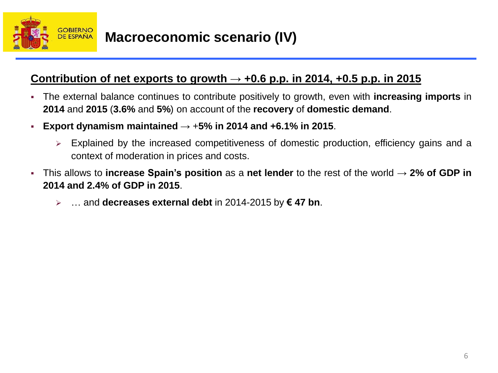

### **Macroeconomic scenario (IV)**

### **Contribution** of net exports to growth  $\rightarrow$  +0.6 p.p. in 2014, +0.5 p.p. in 2015

- The external balance continues to contribute positively to growth, even with **increasing imports** in **2014** and **2015** (**3.6%** and **5%**) on account of the **recovery** of **domestic demand**.
- **Export dynamism maintained**  $\rightarrow$  +5% in 2014 and +6.1% in 2015.
	- $\triangleright$  Explained by the increased competitiveness of domestic production, efficiency gains and a context of moderation in prices and costs.
- This allows to **increase Spain's position** as a **net lender** to the rest of the world → **2% of GDP in 2014 and 2.4% of GDP in 2015**.
	- … and **decreases external debt** in 2014-2015 by **€ 47 bn**.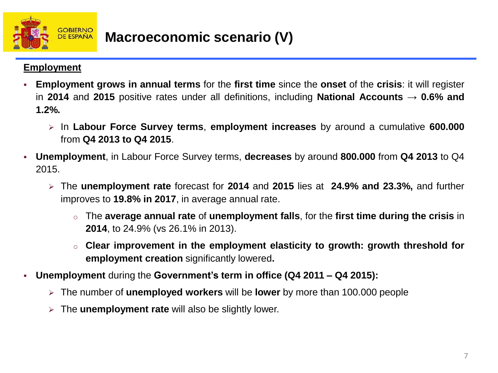

#### **Employment**

- **Employment grows in annual terms** for the **first time** since the **onset** of the **crisis**: it will register in **2014** and **2015** positive rates under all definitions, including **National Accounts** → **0.6% and 1.2%.**
	- In **Labour Force Survey terms**, **employment increases** by around a cumulative **600.000** from **Q4 2013 to Q4 2015**.
- **Unemployment**, in Labour Force Survey terms, **decreases** by around **800.000** from **Q4 2013** to Q4 2015.
	- The **unemployment rate** forecast for **2014** and **2015** lies at **24.9% and 23.3%,** and further improves to **19.8% in 2017**, in average annual rate.
		- o The **average annual rate** of **unemployment falls**, for the **first time during the crisis** in **2014**, to 24.9% (vs 26.1% in 2013).
		- o **Clear improvement in the employment elasticity to growth: growth threshold for employment creation** significantly lowered**.**
- **Unemployment** during the **Government's term in office (Q4 2011 – Q4 2015):**
	- The number of **unemployed workers** will be **lower** by more than 100.000 people
	- The **unemployment rate** will also be slightly lower.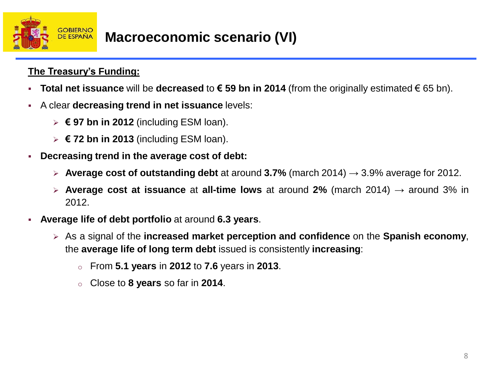

#### **The Treasury's Funding:**

- **Total net issuance** will be **decreased** to **€ 59 bn in 2014** (from the originally estimated € 65 bn).
- A clear **decreasing trend in net issuance** levels:
	- **€ 97 bn in 2012** (including ESM loan).
	- **€ 72 bn in 2013** (including ESM loan).
- **Decreasing trend in the average cost of debt:**
	- **Average cost of outstanding debt** at around **3.7%** (march 2014) → 3.9% average for 2012.
	- **Average cost at issuance** at **all-time lows** at around **2%** (march 2014) → around 3% in 2012.
- **Average life of debt portfolio** at around **6.3 years**.
	- As a signal of the **increased market perception and confidence** on the **Spanish economy**, the **average life of long term debt** issued is consistently **increasing**:
		- o From **5.1 years** in **2012** to **7.6** years in **2013**.
		- o Close to **8 years** so far in **2014**.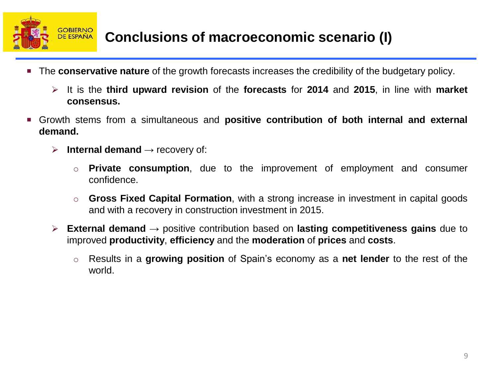

- The **conservative nature** of the growth forecasts increases the credibility of the budgetary policy.
	- It is the **third upward revision** of the **forecasts** for **2014** and **2015**, in line with **market consensus.**
- Growth stems from a simultaneous and **positive contribution of both internal and external demand.**
	- **Internal demand**  $\rightarrow$  recovery of:
		- **Private consumption**, due to the improvement of employment and consumer confidence.
		- o **Gross Fixed Capital Formation**, with a strong increase in investment in capital goods and with a recovery in construction investment in 2015.
	- **External demand** → positive contribution based on **lasting competitiveness gains** due to improved **productivity**, **efficiency** and the **moderation** of **prices** and **costs**.
		- o Results in a **growing position** of Spain's economy as a **net lender** to the rest of the world.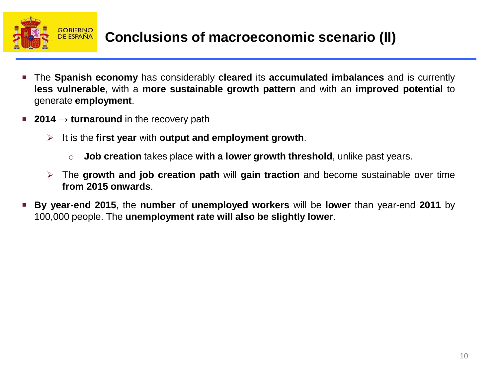

- The **Spanish economy** has considerably **cleared** its **accumulated imbalances** and is currently **less vulnerable**, with a **more sustainable growth pattern** and with an **improved potential** to generate **employment**.
- **2014** → **turnaround** in the recovery path
	- It is the **first year** with **output and employment growth**.
		- o **Job creation** takes place **with a lower growth threshold**, unlike past years.
	- The **growth and job creation path** will **gain traction** and become sustainable over time **from 2015 onwards**.
- **By year-end 2015**, the **number** of **unemployed workers** will be **lower** than year-end **2011** by 100,000 people. The **unemployment rate will also be slightly lower**.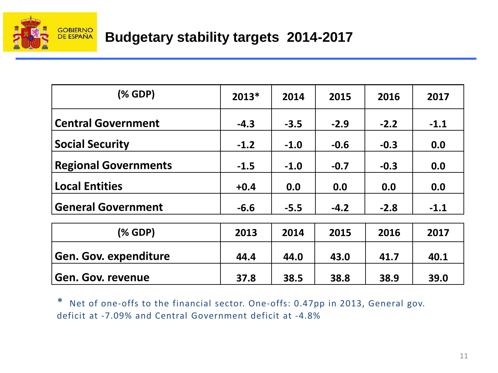

## **Budgetary stability targets 2014-2017**

| $(% \mathcal{L}_{0})$ (% GDP) | $2013*$ | 2014   | 2015   | 2016   | 2017   |
|-------------------------------|---------|--------|--------|--------|--------|
| <b>Central Government</b>     | $-4.3$  | $-3.5$ | $-2.9$ | $-2.2$ | $-1.1$ |
| <b>Social Security</b>        | $-1.2$  | $-1.0$ | $-0.6$ | $-0.3$ | 0.0    |
| <b>Regional Governments</b>   | $-1.5$  | $-1.0$ | $-0.7$ | $-0.3$ | 0.0    |
| <b>Local Entities</b>         | $+0.4$  | 0.0    | 0.0    | 0.0    | 0.0    |
| <b>General Government</b>     | $-6.6$  | $-5.5$ | $-4.2$ | $-2.8$ | $-1.1$ |
| ( % GDP)                      | 2013    | 2014   | 2015   | 2016   | 2017   |
| <b>Gen. Gov. expenditure</b>  | 44.4    | 44.0   | 43.0   | 41.7   | 40.1   |
| Gen. Gov. revenue             | 37.8    | 38.5   | 38.8   | 38.9   | 39.0   |

\* Net of one-offs to the financial sector. One-offs: 0.47pp in 2013, General gov. deficit at -7.09% and Central Government deficit at -4.8%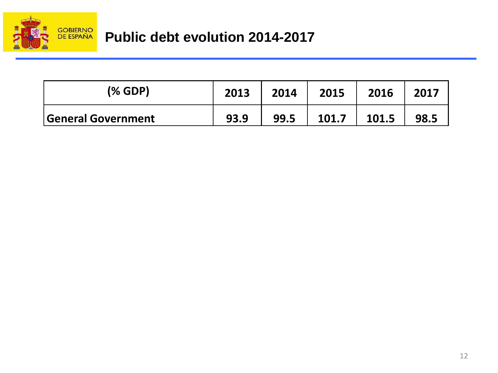

| (% GDP)            | 2013 | 2014 | 2015  | 2016  | 2017 |
|--------------------|------|------|-------|-------|------|
| General Government | 93.9 | 99.5 | 101.7 | 101.5 | 98.5 |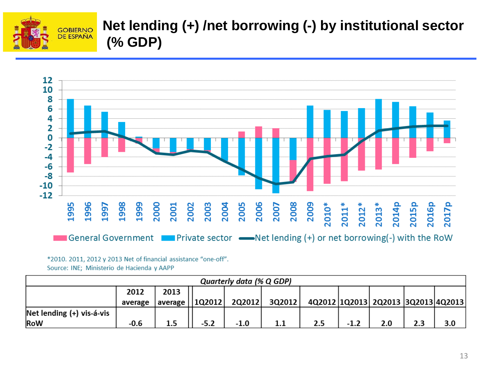

## **Net lending (+) /net borrowing (-) by institutional sector (% GDP)**



#### \*2010. 2011, 2012 y 2013 Net of financial assistance "one-off".

Source: INE; Ministerio de Hacienda y AAPP

| Quarterly data (% Q GDP)      |         |                    |  |        |        |     |  |                                    |  |     |
|-------------------------------|---------|--------------------|--|--------|--------|-----|--|------------------------------------|--|-----|
|                               | 2012    | 2013               |  |        |        |     |  |                                    |  |     |
|                               | average | average     1Q2012 |  | 2Q2012 | 3Q2012 |     |  | 4Q2012 1Q2013 2Q2013 3Q2013 4Q2013 |  |     |
| $Net$ lending $(+)$ vis-á-vis |         |                    |  |        |        |     |  |                                    |  |     |
| RoW                           | -0.6    |                    |  | $-1.0$ |        | 2.5 |  |                                    |  | 3.0 |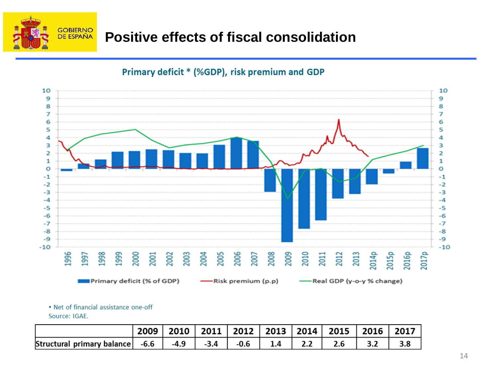

## **Positive effects of fiscal consolidation**



#### Primary deficit \* (%GDP), risk premium and GDP

. Net of financial assistance one-off

Source: IGAE.

|                                                                           |  |                      |                                        |             | 2009   2010   2011   2012   2013   2014   2015   2016   2017 |  |
|---------------------------------------------------------------------------|--|----------------------|----------------------------------------|-------------|--------------------------------------------------------------|--|
| Structural primary balance $\vert$ -6.6 $\vert$ -4.9 $\vert$ -3.4 $\vert$ |  | $\cdot$ -0.6 $\cdot$ | $\begin{array}{ccc} & 1.4 \end{array}$ | $\vert$ 2.2 |                                                              |  |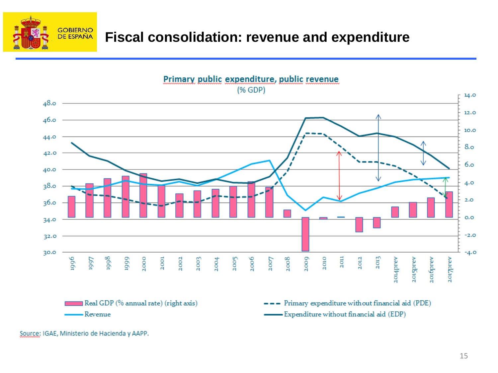

### **Fiscal consolidation: revenue and expenditure**



Source: IGAE, Ministerio de Hacienda y AAPP.

-Revenue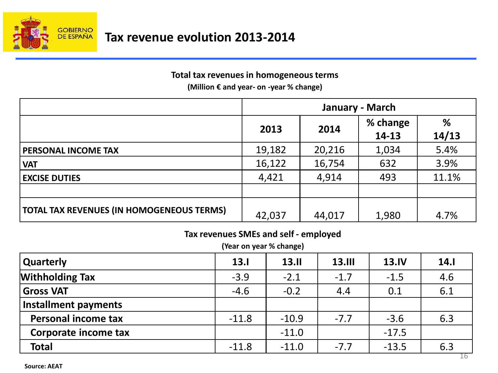

#### **Total tax revenues in homogeneous terms**

**(Million € and year- on -year % change)**

|                                                  | January - March |        |          |       |  |  |  |
|--------------------------------------------------|-----------------|--------|----------|-------|--|--|--|
|                                                  | 2013            | 2014   | % change | %     |  |  |  |
|                                                  |                 |        | 14-13    | 14/13 |  |  |  |
| PERSONAL INCOME TAX                              | 19,182          | 20,216 | 1,034    | 5.4%  |  |  |  |
| <b>VAT</b>                                       | 16,122          | 16,754 | 632      | 3.9%  |  |  |  |
| <b>EXCISE DUTIES</b>                             | 4,421           | 4,914  | 493      | 11.1% |  |  |  |
|                                                  |                 |        |          |       |  |  |  |
| <b>TOTAL TAX REVENUES (IN HOMOGENEOUS TERMS)</b> | 42,037          | 44,017 | 1,980    | 4.7%  |  |  |  |

#### **Tax revenues SMEs and self - employed**

**(Year on year % change)**

| Quarterly                   | 13.1    | 13.11   | <b>13.III</b> | <b>13.IV</b> | 14.1                  |
|-----------------------------|---------|---------|---------------|--------------|-----------------------|
| <b>Withholding Tax</b>      | $-3.9$  | $-2.1$  | $-1.7$        | $-1.5$       | 4.6                   |
| <b>Gross VAT</b>            | $-4.6$  | $-0.2$  | 4.4           | 0.1          | 6.1                   |
| <b>Installment payments</b> |         |         |               |              |                       |
| <b>Personal income tax</b>  | $-11.8$ | $-10.9$ | $-7.7$        | $-3.6$       | 6.3                   |
| Corporate income tax        |         | $-11.0$ |               | $-17.5$      |                       |
| <b>Total</b>                | $-11.8$ | $-11.0$ | $-7.7$        | $-13.5$      | 6.3<br>$\overline{A}$ |